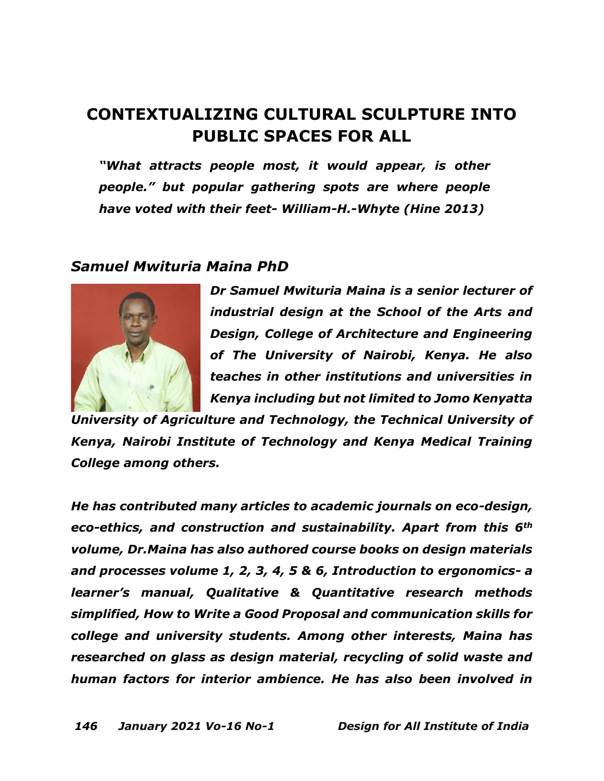# **CONTEXTUALIZING CULTURAL SCULPTURE INTO PUBLIC SPACES FOR ALL**

*"What attracts people most, it would appear, is other people." but popular gathering spots are where people have voted with their feet- William-H.-Whyte (Hine 2013)* 

## *Samuel Mwituria Maina PhD*



*Dr Samuel Mwituria Maina is a senior lecturer of industrial design at the School of the Arts and Design, College of Architecture and Engineering of The University of Nairobi, Kenya. He also teaches in other institutions and universities in Kenya including but not limited to Jomo Kenyatta* 

*University of Agriculture and Technology, the Technical University of Kenya, Nairobi Institute of Technology and Kenya Medical Training College among others.*

*He has contributed many articles to academic journals on eco-design, eco-ethics, and construction and sustainability. Apart from this 6th volume, Dr.Maina has also authored course books on design materials and processes volume 1, 2, 3, 4, 5 & 6, Introduction to ergonomics- a learner's manual, Qualitative & Quantitative research methods simplified, How to Write a Good Proposal and communication skills for college and university students. Among other interests, Maina has researched on glass as design material, recycling of solid waste and human factors for interior ambience. He has also been involved in*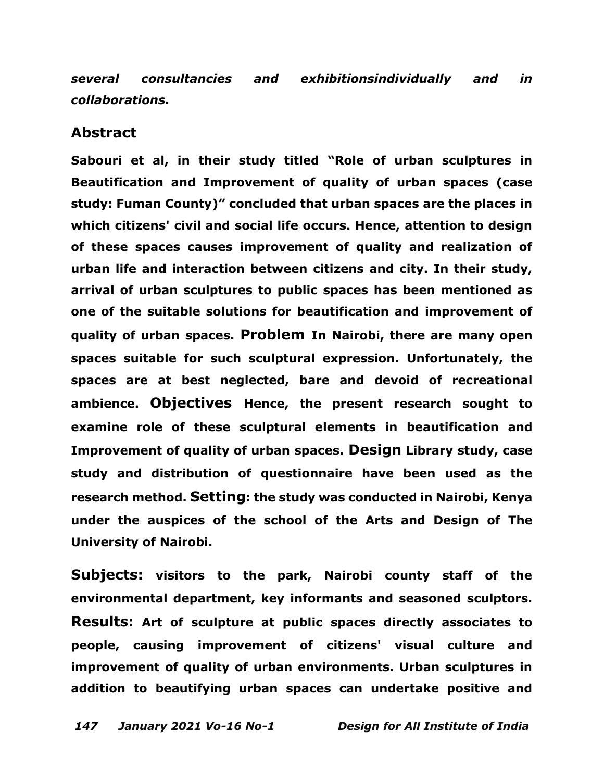*several consultancies and exhibitionsindividually and in collaborations.*

### **Abstract**

**Sabouri et al, in their study titled "Role of urban sculptures in Beautification and Improvement of quality of urban spaces (case study: Fuman County)" concluded that urban spaces are the places in which citizens' civil and social life occurs. Hence, attention to design of these spaces causes improvement of quality and realization of urban life and interaction between citizens and city. In their study, arrival of urban sculptures to public spaces has been mentioned as one of the suitable solutions for beautification and improvement of quality of urban spaces. Problem In Nairobi, there are many open spaces suitable for such sculptural expression. Unfortunately, the spaces are at best neglected, bare and devoid of recreational ambience. Objectives Hence, the present research sought to examine role of these sculptural elements in beautification and Improvement of quality of urban spaces. Design Library study, case study and distribution of questionnaire have been used as the research method. Setting: the study was conducted in Nairobi, Kenya under the auspices of the school of the Arts and Design of The University of Nairobi.**

**Subjects: visitors to the park, Nairobi county staff of the environmental department, key informants and seasoned sculptors. Results: Art of sculpture at public spaces directly associates to people, causing improvement of citizens' visual culture and improvement of quality of urban environments. Urban sculptures in addition to beautifying urban spaces can undertake positive and**